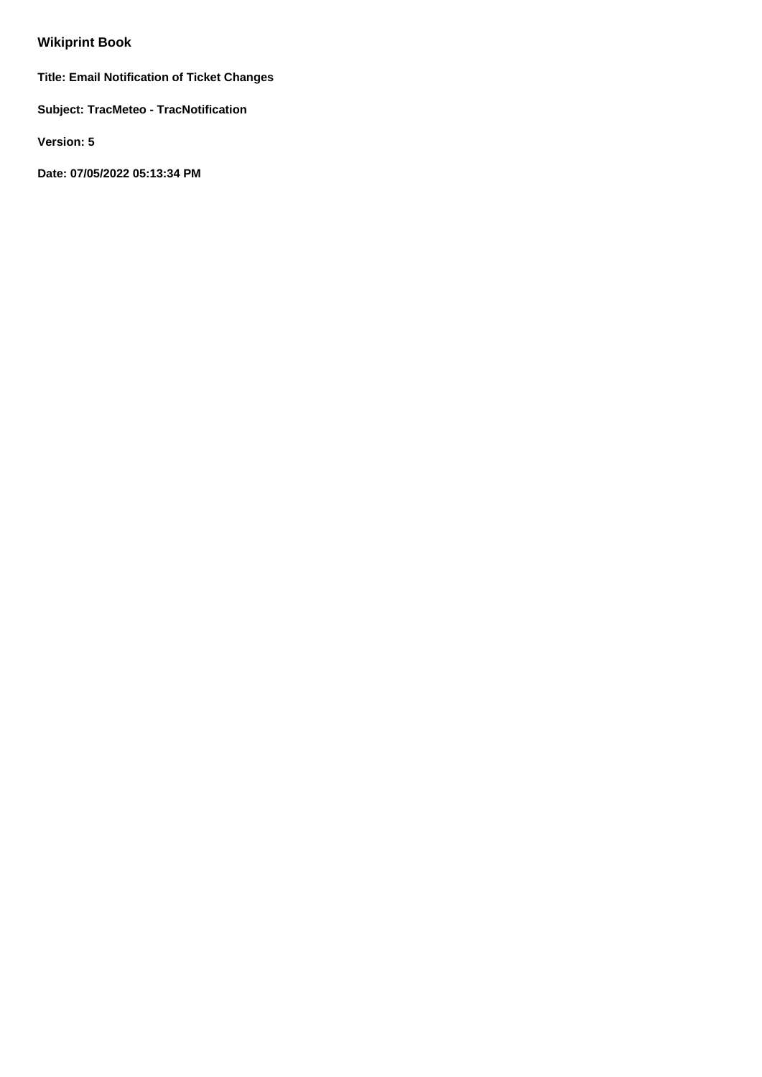# **Wikiprint Book**

**Title: Email Notification of Ticket Changes**

**Subject: TracMeteo - TracNotification**

**Version: 5**

**Date: 07/05/2022 05:13:34 PM**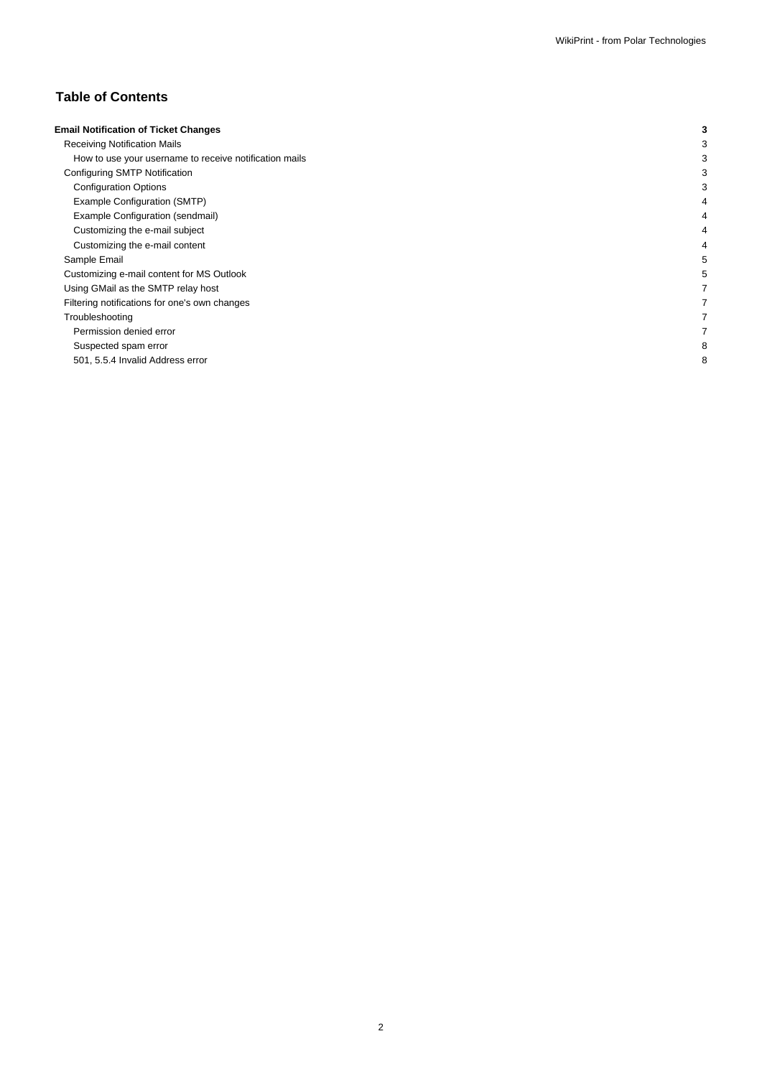## **Table of Contents**

| <b>Email Notification of Ticket Changes</b>            |   |
|--------------------------------------------------------|---|
| <b>Receiving Notification Mails</b>                    |   |
| How to use your username to receive notification mails |   |
| Configuring SMTP Notification                          |   |
| <b>Configuration Options</b>                           |   |
| Example Configuration (SMTP)                           |   |
| Example Configuration (sendmail)                       |   |
| Customizing the e-mail subject                         |   |
| Customizing the e-mail content                         |   |
| Sample Email                                           |   |
| Customizing e-mail content for MS Outlook              |   |
| Using GMail as the SMTP relay host                     |   |
| Filtering notifications for one's own changes          |   |
| Troubleshooting                                        |   |
| Permission denied error                                |   |
| Suspected spam error                                   |   |
| 501, 5.5.4 Invalid Address error                       | 8 |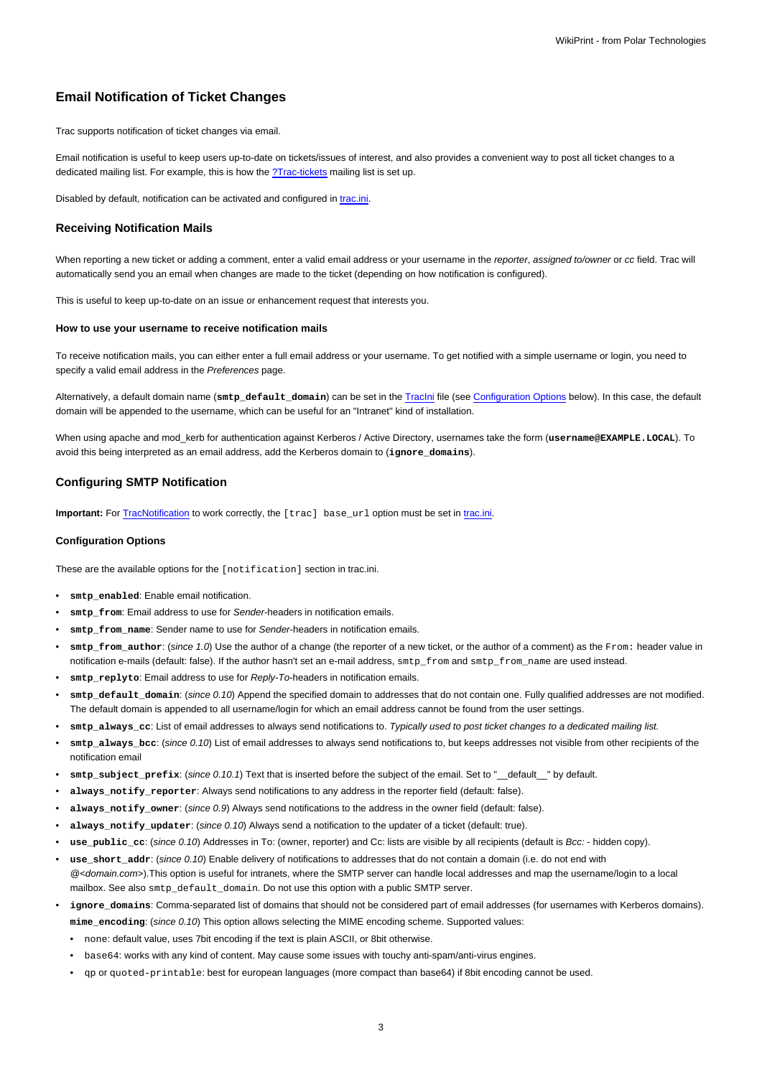## **Email Notification of Ticket Changes**

Trac supports notification of ticket changes via email.

Email notification is useful to keep users up-to-date on tickets/issues of interest, and also provides a convenient way to post all ticket changes to a dedicated mailing list. For example, this is how the [?Trac-tickets](http://lists.edgewall.com/archive/trac-tickets/) mailing list is set up.

Disabled by default, notification can be activated and configured in [trac.ini.](https://meteo.unican.es/trac/wiki/TracIni)

#### **Receiving Notification Mails**

When reporting a new ticket or adding a comment, enter a valid email address or your username in the reporter, assigned to/owner or cc field. Trac will automatically send you an email when changes are made to the ticket (depending on how notification is configured).

This is useful to keep up-to-date on an issue or enhancement request that interests you.

#### **How to use your username to receive notification mails**

To receive notification mails, you can either enter a full email address or your username. To get notified with a simple username or login, you need to specify a valid email address in the Preferences page.

Alternatively, a default domain name (**smtp\_default\_domain**) can be set in the [TracIni](https://meteo.unican.es/trac/wiki/TracIni) file (see [Configuration Options](https://meteo.unican.es/trac/wiki/TracNotification#ConfigurationOptions) below). In this case, the default domain will be appended to the username, which can be useful for an "Intranet" kind of installation.

When using apache and mod\_kerb for authentication against Kerberos / Active Directory, usernames take the form (username@EXAMPLE.LOCAL). To avoid this being interpreted as an email address, add the Kerberos domain to (**ignore\_domains**).

## **Configuring SMTP Notification**

**Important:** For [TracNotification](https://meteo.unican.es/trac/wiki/TracNotification) to work correctly, the [trac] base url option must be set in [trac.ini](https://meteo.unican.es/trac/wiki/TracIni).

#### **Configuration Options**

These are the available options for the [notification] section in trac.ini.

- smtp\_enabled: Enable email notification.
- smtp\_from: Email address to use for Sender-headers in notification emails.
- smtp from name: Sender name to use for Sender-headers in notification emails.
- **smtp\_from\_author**: (since 1.0) Use the author of a change (the reporter of a new ticket, or the author of a comment) as the From: header value in notification e-mails (default: false). If the author hasn't set an e-mail address, smtp\_from and smtp\_from\_name are used instead.
- smtp\_replyto: Email address to use for Reply-To-headers in notification emails.
- smtp\_default\_domain: (since 0.10) Append the specified domain to addresses that do not contain one. Fully qualified addresses are not modified. The default domain is appended to all username/login for which an email address cannot be found from the user settings.
- **smtp\_always\_cc**: List of email addresses to always send notifications to. Typically used to post ticket changes to a dedicated mailing list.
- **smtp\_always\_bcc**: (since 0.10) List of email addresses to always send notifications to, but keeps addresses not visible from other recipients of the notification email
- **smtp\_subject\_prefix**: (since 0.10.1) Text that is inserted before the subject of the email. Set to "\_\_default\_\_" by default.
- **always\_notify\_reporter**: Always send notifications to any address in the reporter field (default: false).
- always notify owner: (since 0.9) Always send notifications to the address in the owner field (default: false).
- **always\_notify\_updater**: (since 0.10) Always send a notification to the updater of a ticket (default: true).
- **use\_public\_cc**: (since 0.10) Addresses in To: (owner, reporter) and Cc: lists are visible by all recipients (default is Bcc: hidden copy).
- use short addr: (since 0.10) Enable delivery of notifications to addresses that do not contain a domain (i.e. do not end with  $@$ <domain.com>).This option is useful for intranets, where the SMTP server can handle local addresses and map the username/login to a local mailbox. See also smtp\_default\_domain. Do not use this option with a public SMTP server.
- ignore domains: Comma-separated list of domains that should not be considered part of email addresses (for usernames with Kerberos domains). **mime\_encoding**: (since 0.10) This option allows selecting the MIME encoding scheme. Supported values:
	- none: default value, uses 7bit encoding if the text is plain ASCII, or 8bit otherwise.
	- base64: works with any kind of content. May cause some issues with touchy anti-spam/anti-virus engines.
	- qp or quoted-printable: best for european languages (more compact than base64) if 8bit encoding cannot be used.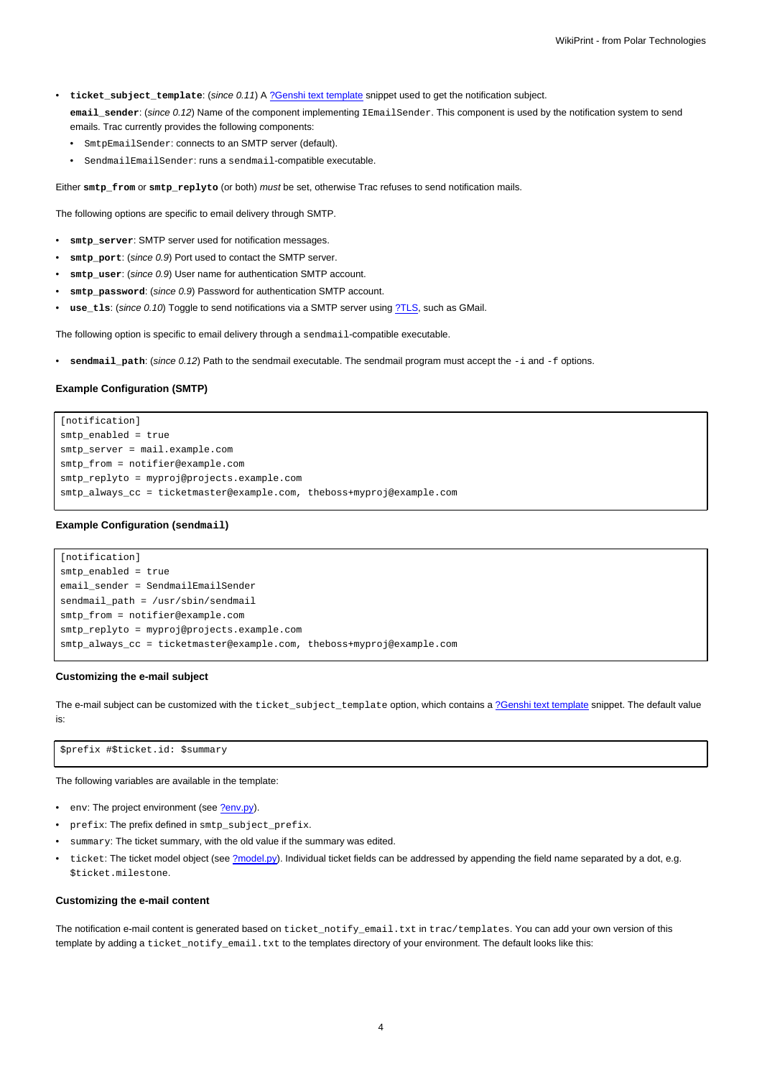- **ticket\_subject\_template**: (since 0.11) A [?Genshi text template](http://genshi.edgewall.org/wiki/Documentation/text-templates.html) snippet used to get the notification subject.
	- **email\_sender**: (since 0.12) Name of the component implementing IEmailSender. This component is used by the notification system to send emails. Trac currently provides the following components:
	- SmtpEmailSender: connects to an SMTP server (default).
	- SendmailEmailSender: runs a sendmail-compatible executable.

Either **smtp\_from** or **smtp\_replyto** (or both) must be set, otherwise Trac refuses to send notification mails.

The following options are specific to email delivery through SMTP.

- **smtp\_server**: SMTP server used for notification messages.
- smtp\_port: (since 0.9) Port used to contact the SMTP server.
- **smtp\_user**: (since 0.9) User name for authentication SMTP account.
- smtp password: (since 0.9) Password for authentication SMTP account.
- use\_tls: (since 0.10) Toggle to send notifications via a SMTP server using [?TLS,](http://en.wikipedia.org/wiki/Transport_Layer_Security) such as GMail.

The following option is specific to email delivery through a sendmail-compatible executable.

• **sendmail\_path**: (since 0.12) Path to the sendmail executable. The sendmail program must accept the -i and -f options.

## **Example Configuration (SMTP)**

[notification] smtp\_enabled = true smtp server = mail.example.com smtp\_from = notifier@example.com smtp\_replyto = myproj@projects.example.com smtp\_always\_cc = ticketmaster@example.com, theboss+myproj@example.com

#### **Example Configuration (sendmail)**

```
[notification]
smtp_enabled = true
email sender = SendmailEmailSender
sendmail_path = /usr/sbin/sendmail
smtp_from = notifier@example.com
smtp_replyto = myproj@projects.example.com
smtp_always_cc = ticketmaster@example.com, theboss+myproj@example.com
```
#### **Customizing the e-mail subject**

The e-mail subject can be customized with the ticket\_subject\_template option, which contains a [?Genshi text template](http://genshi.edgewall.org/wiki/Documentation/text-templates.html) snippet. The default value is:

\$prefix #\$ticket.id: \$summary

The following variables are available in the template:

- env: The project environment (see [?env.py](http://trac.edgewall.org/intertrac/source%3A/trunk/trac/env.py)).
- prefix: The prefix defined in smtp\_subject\_prefix.
- summary: The ticket summary, with the old value if the summary was edited.
- ticket: The ticket model object (see [?model.py](http://trac.edgewall.org/intertrac/source%3A/trunk/trac/ticket/model.py)). Individual ticket fields can be addressed by appending the field name separated by a dot, e.g. \$ticket.milestone.

#### **Customizing the e-mail content**

The notification e-mail content is generated based on ticket\_notify\_email.txt in trac/templates. You can add your own version of this template by adding a ticket\_notify\_email.txt to the templates directory of your environment. The default looks like this: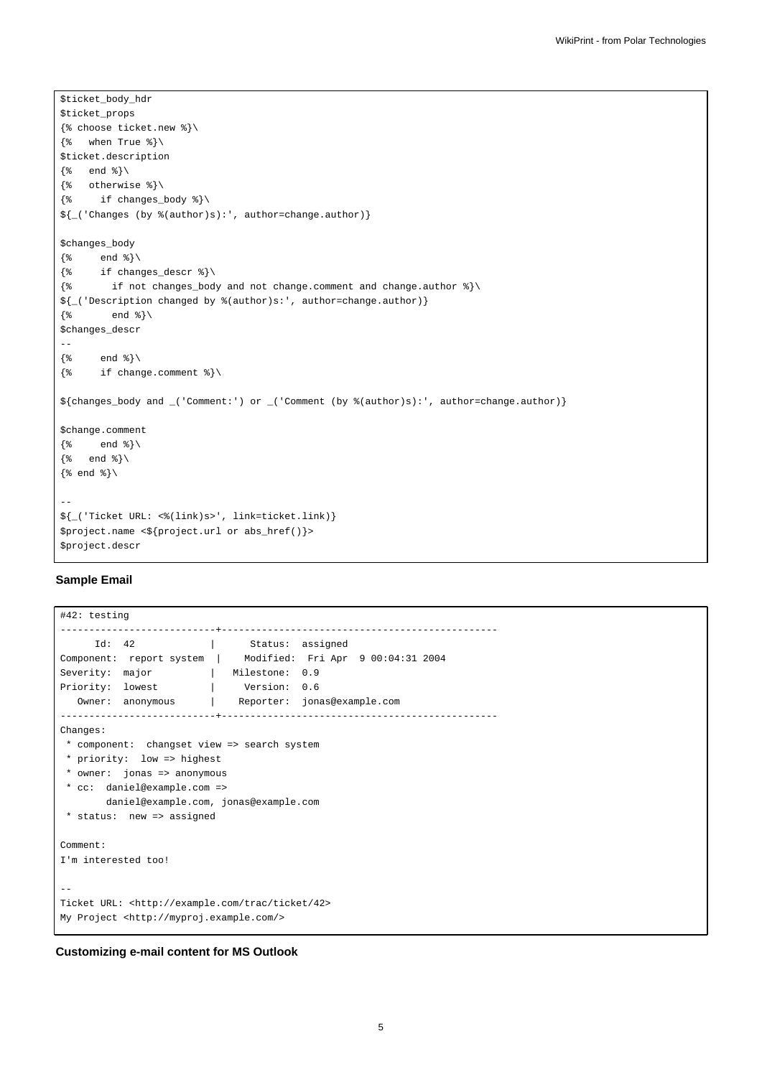```
$ticket_body_hdr
$ticket_props
{% choose ticket.new %}\
\{\text{``when True"\}\}$ticket.description
\{\% \quad \text{end } \$\setminus\\{\text{\textdegree}\} otherwise \text{\textdegree}\}\{\text{\text{*}} \quad \text{if changes\_body \text{\text{*}}}\}\${_('Changes (by %(author)s):', author=change.author)}
$changes_body
\{\ end \}\setminus\{\text{\$ if changes\_descr \$}\}\\{\ if not changes_body and not change.comment and change.author \{\ \}${_('Description changed by %(author)s:', author=change.author)}
\{\frac{1}{6} \qquad \text{end } \frac{1}{6} \}$changes_descr
--
\{\ end \{\}\\{\text{\textdegree}\} if change.comment \{\text{\textdegree}\}${changes_body and _('Comment:') or _('Comment (by %(author)s):', author=change.author)}
$change.comment
\{\ end \{\}\{% end %}\
\{\text{and } \text{}\}\setminus--
${_('Ticket URL: <%(link)s>', link=ticket.link)}
$project.name <${project.url or abs_href()}>
$project.descr
```
## **Sample Email**

```
#42: testing
---------------------------+------------------------------------------------
    Id: 42 | Status: assigned
Component: report system | Modified: Fri Apr 9 00:04:31 2004
Severity: major | Milestone: 0.9
Priority: lowest | Version: 0.6
 Owner: anonymous | Reporter: jonas@example.com
---------------------------+------------------------------------------------
Changes:
* component: changset view => search system
* priority: low => highest
* owner: jonas => anonymous
* cc: daniel@example.com =>
      daniel@example.com, jonas@example.com
* status: new => assigned
Comment:
I'm interested too!
--
Ticket URL: <http://example.com/trac/ticket/42>
My Project <http://myproj.example.com/>
```
## **Customizing e-mail content for MS Outlook**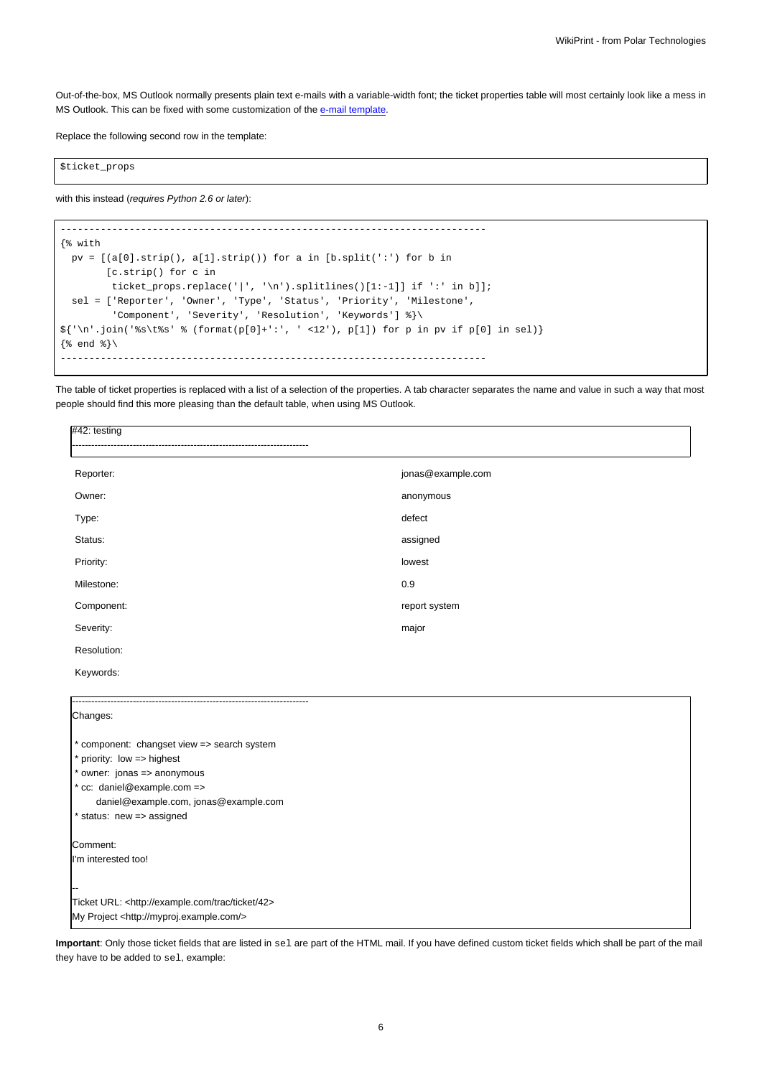Out-of-the-box, MS Outlook normally presents plain text e-mails with a variable-width font; the ticket properties table will most certainly look like a mess in MS Outlook. This can be fixed with some customization of the [e-mail template.](https://meteo.unican.es/trac/wiki/TracNotification#Customizingthee-mailcontent)

Replace the following second row in the template:

\$ticket\_props

with this instead (requires Python 2.6 or later):

```
--------------------------------------------------------------------------
{% with
 pv = [(a[0].strip(), a[1].strip()) for a in [b.split(':') for b in
        [c.strip() for c in
         ticket_props.replace('|', '\n').splitlines()[1:-1]] if ':' in b]];
 sel = ['Reporter', 'Owner', 'Type', 'Status', 'Priority', 'Milestone',
         'Component', 'Severity', 'Resolution', 'Keywords'] %}\
{\frac{\{(n^i\cdot i)(n^i\cdot j)\}}{j}} (format(p[0]+':', ' <12'), p[1]) for p in pv if p[0] in sel)}
\{\frac{1}{6} end \{\}\--------------------------------------------------------------------------
```
The table of ticket properties is replaced with a list of a selection of the properties. A tab character separates the name and value in such a way that most people should find this more pleasing than the default table, when using MS Outlook.

| $#42:$ testing                              |                   |  |  |
|---------------------------------------------|-------------------|--|--|
|                                             |                   |  |  |
| Reporter:                                   | jonas@example.com |  |  |
| Owner:                                      | anonymous         |  |  |
| Type:                                       | defect            |  |  |
| Status:                                     | assigned          |  |  |
| Priority:                                   | lowest            |  |  |
| Milestone:                                  | 0.9               |  |  |
| Component:                                  | report system     |  |  |
| Severity:                                   | major             |  |  |
| Resolution:                                 |                   |  |  |
| Keywords:                                   |                   |  |  |
|                                             |                   |  |  |
| Changes:                                    |                   |  |  |
| * component: changset view => search system |                   |  |  |
| * priority: low => highest                  |                   |  |  |
| * owner: jonas => anonymous                 |                   |  |  |
| * cc: daniel@example.com =>                 |                   |  |  |
| daniel@example.com, jonas@example.com       |                   |  |  |
| * status: new => assigned                   |                   |  |  |

Comment:

I'm interested too!

-- Ticket URL: <http://example.com/trac/ticket/42> My Project <http://myproj.example.com/>

they have to be added to sel, example:

**Important**: Only those ticket fields that are listed in sel are part of the HTML mail. If you have defined custom ticket fields which shall be part of the mail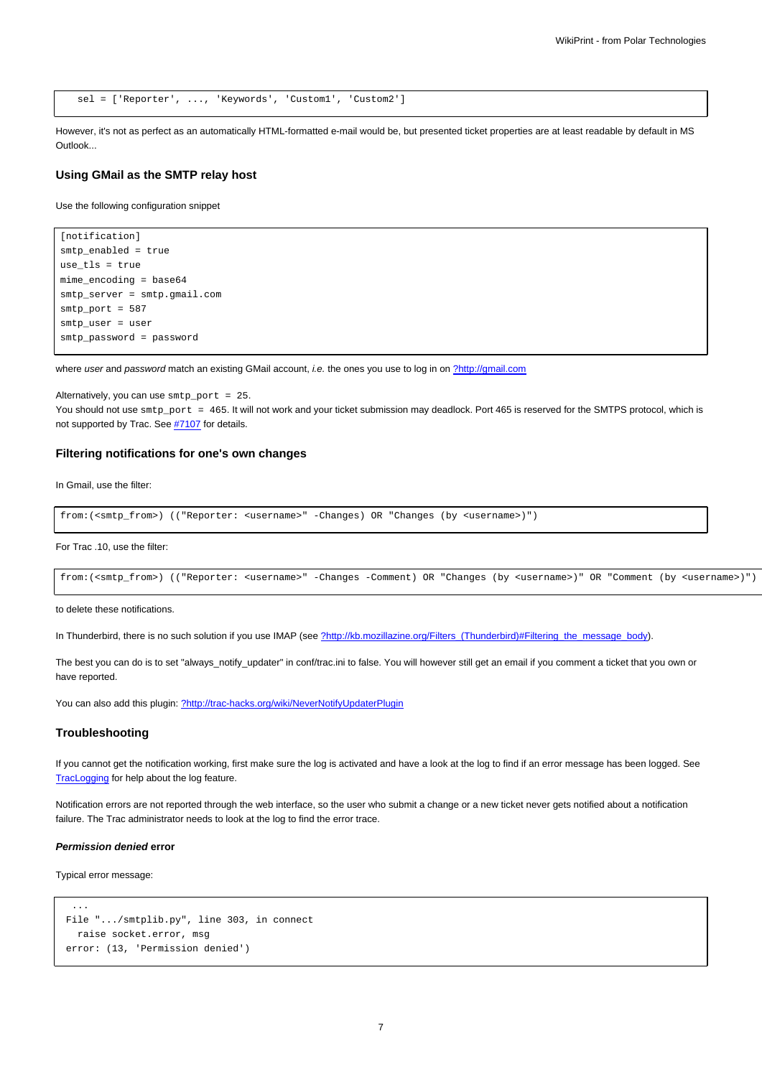```
sel = ['Reporter', ..., 'Keywords', 'Custom1', 'Custom2']
```
However, it's not as perfect as an automatically HTML-formatted e-mail would be, but presented ticket properties are at least readable by default in MS Outlook...

#### **Using GMail as the SMTP relay host**

Use the following configuration snippet

```
[notification]
smtp_enabled = true
use_tls = true
mime_encoding = base64
smtp_server = smtp.gmail.com
smtp_port = 587
smtp_user = user
smtp_password = password
```
where user and password match an existing GMail account, i.e. the ones you use to log in on [?http://gmail.com](http://gmail.com)

Alternatively, you can use smtp\_port = 25. You should not use  $\text{sntp\_port} = 465$ . It will not work and your ticket submission may deadlock. Port 465 is reserved for the SMTPS protocol, which is not supported by Trac. See #7107 for details.

## **Filtering notifications for one's own changes**

In Gmail, use the filter:

```
from:(<smtp_from>) (("Reporter: <username>" -Changes) OR "Changes (by <username>)")
```
For Trac .10, use the filter:

```
from:(<smtp_from>) (("Reporter: <username>" -Changes -Comment) OR "Changes (by <username>)" OR "Comment (by <username>)")
```
to delete these notifications.

In Thunderbird, there is no such solution if you use IMAP (see [?http://kb.mozillazine.org/Filters\\_\(Thunderbird\)#Filtering\\_the\\_message\\_body](http://kb.mozillazine.org/Filters_(Thunderbird)#Filtering_the_message_body)).

The best you can do is to set "always\_notify\_updater" in conf/trac.ini to false. You will however still get an email if you comment a ticket that you own or have reported.

You can also add this plugin: [?http://trac-hacks.org/wiki/NeverNotifyUpdaterPlugin](http://trac-hacks.org/wiki/NeverNotifyUpdaterPlugin)

#### **Troubleshooting**

If you cannot get the notification working, first make sure the log is activated and have a look at the log to find if an error message has been logged. See [TracLogging](https://meteo.unican.es/trac/wiki/TracLogging) for help about the log feature.

Notification errors are not reported through the web interface, so the user who submit a change or a new ticket never gets notified about a notification failure. The Trac administrator needs to look at the log to find the error trace.

#### **Permission denied error**

Typical error message:

```
...
File ".../smtplib.py", line 303, in connect
  raise socket.error, msg
error: (13, 'Permission denied')
```